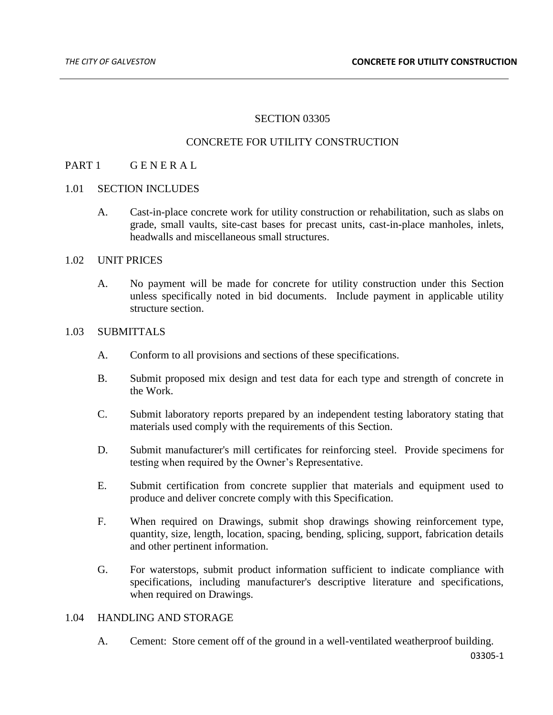# SECTION 03305

### CONCRETE FOR UTILITY CONSTRUCTION

### PART 1 GENERAL

#### 1.01 SECTION INCLUDES

A. Cast-in-place concrete work for utility construction or rehabilitation, such as slabs on grade, small vaults, site-cast bases for precast units, cast-in-place manholes, inlets, headwalls and miscellaneous small structures.

### 1.02 UNIT PRICES

A. No payment will be made for concrete for utility construction under this Section unless specifically noted in bid documents. Include payment in applicable utility structure section.

#### 1.03 SUBMITTALS

- A. Conform to all provisions and sections of these specifications.
- B. Submit proposed mix design and test data for each type and strength of concrete in the Work.
- C. Submit laboratory reports prepared by an independent testing laboratory stating that materials used comply with the requirements of this Section.
- D. Submit manufacturer's mill certificates for reinforcing steel. Provide specimens for testing when required by the Owner's Representative.
- E. Submit certification from concrete supplier that materials and equipment used to produce and deliver concrete comply with this Specification.
- F. When required on Drawings, submit shop drawings showing reinforcement type, quantity, size, length, location, spacing, bending, splicing, support, fabrication details and other pertinent information.
- G. For waterstops, submit product information sufficient to indicate compliance with specifications, including manufacturer's descriptive literature and specifications, when required on Drawings.

### 1.04 HANDLING AND STORAGE

A. Cement: Store cement off of the ground in a well-ventilated weatherproof building.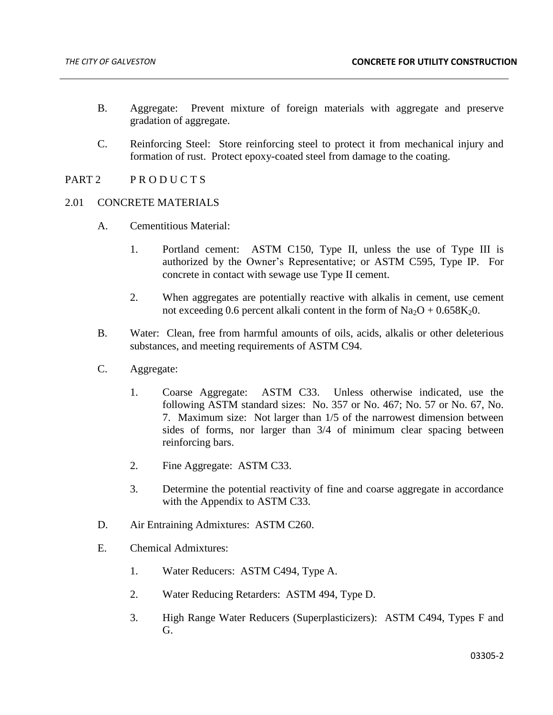- B. Aggregate: Prevent mixture of foreign materials with aggregate and preserve gradation of aggregate.
- C. Reinforcing Steel: Store reinforcing steel to protect it from mechanical injury and formation of rust. Protect epoxy-coated steel from damage to the coating.
- PART 2 PRODUCTS

### 2.01 CONCRETE MATERIALS

- A. Cementitious Material:
	- 1. Portland cement: ASTM C150, Type II, unless the use of Type III is authorized by the Owner's Representative; or ASTM C595, Type IP. For concrete in contact with sewage use Type II cement.
	- 2. When aggregates are potentially reactive with alkalis in cement, use cement not exceeding 0.6 percent alkali content in the form of  $Na_2O + 0.658K_2O$ .
- B. Water: Clean, free from harmful amounts of oils, acids, alkalis or other deleterious substances, and meeting requirements of ASTM C94.
- C. Aggregate:
	- 1. Coarse Aggregate: ASTM C33. Unless otherwise indicated, use the following ASTM standard sizes: No. 357 or No. 467; No. 57 or No. 67, No. 7. Maximum size: Not larger than 1/5 of the narrowest dimension between sides of forms, nor larger than 3/4 of minimum clear spacing between reinforcing bars.
	- 2. Fine Aggregate: ASTM C33.
	- 3. Determine the potential reactivity of fine and coarse aggregate in accordance with the Appendix to ASTM C33.
- D. Air Entraining Admixtures: ASTM C260.
- E. Chemical Admixtures:
	- 1. Water Reducers: ASTM C494, Type A.
	- 2. Water Reducing Retarders: ASTM 494, Type D.
	- 3. High Range Water Reducers (Superplasticizers): ASTM C494, Types F and G.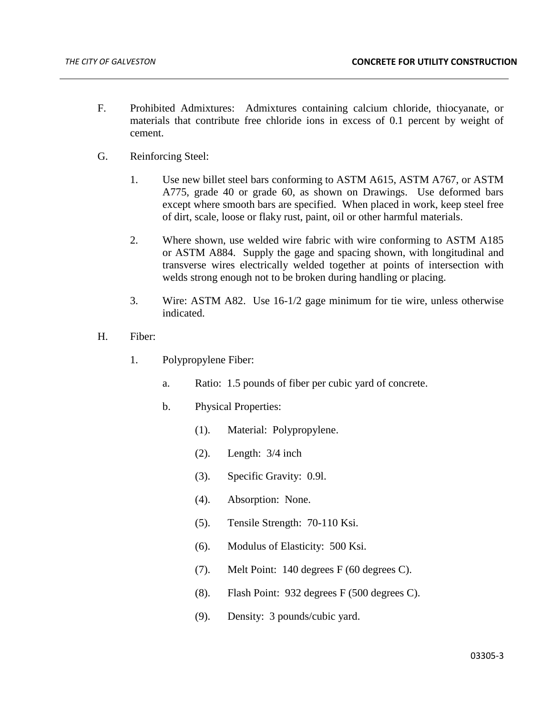- F. Prohibited Admixtures: Admixtures containing calcium chloride, thiocyanate, or materials that contribute free chloride ions in excess of 0.1 percent by weight of cement.
- G. Reinforcing Steel:
	- 1. Use new billet steel bars conforming to ASTM A615, ASTM A767, or ASTM A775, grade 40 or grade 60, as shown on Drawings. Use deformed bars except where smooth bars are specified. When placed in work, keep steel free of dirt, scale, loose or flaky rust, paint, oil or other harmful materials.
	- 2. Where shown, use welded wire fabric with wire conforming to ASTM A185 or ASTM A884. Supply the gage and spacing shown, with longitudinal and transverse wires electrically welded together at points of intersection with welds strong enough not to be broken during handling or placing.
	- 3. Wire: ASTM A82. Use 16-1/2 gage minimum for tie wire, unless otherwise indicated.
- H. Fiber:
	- 1. Polypropylene Fiber:
		- a. Ratio: 1.5 pounds of fiber per cubic yard of concrete.
		- b. Physical Properties:
			- (1). Material: Polypropylene.
			- (2). Length: 3/4 inch
			- (3). Specific Gravity: 0.9l.
			- (4). Absorption: None.
			- (5). Tensile Strength: 70-110 Ksi.
			- (6). Modulus of Elasticity: 500 Ksi.
			- (7). Melt Point: 140 degrees F (60 degrees C).
			- (8). Flash Point: 932 degrees F (500 degrees C).
			- (9). Density: 3 pounds/cubic yard.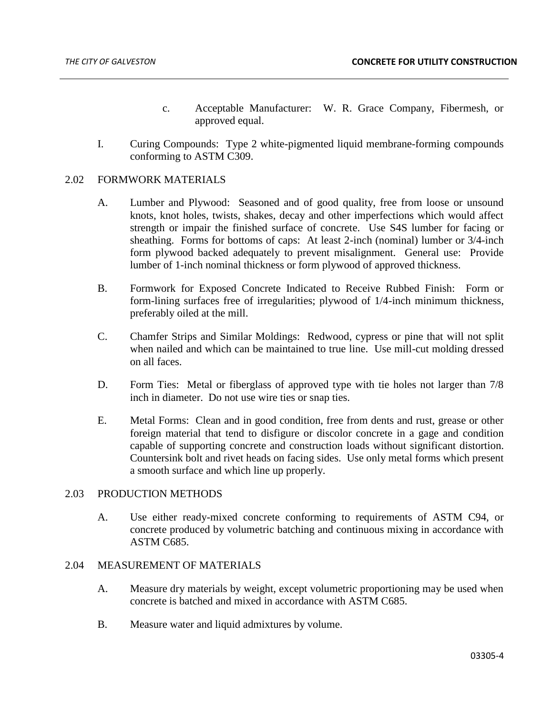- c. Acceptable Manufacturer: W. R. Grace Company, Fibermesh, or approved equal.
- I. Curing Compounds: Type 2 white-pigmented liquid membrane-forming compounds conforming to ASTM C309.

### 2.02 FORMWORK MATERIALS

- A. Lumber and Plywood: Seasoned and of good quality, free from loose or unsound knots, knot holes, twists, shakes, decay and other imperfections which would affect strength or impair the finished surface of concrete. Use S4S lumber for facing or sheathing. Forms for bottoms of caps: At least 2-inch (nominal) lumber or 3/4-inch form plywood backed adequately to prevent misalignment. General use: Provide lumber of 1-inch nominal thickness or form plywood of approved thickness.
- B. Formwork for Exposed Concrete Indicated to Receive Rubbed Finish: Form or form-lining surfaces free of irregularities; plywood of 1/4-inch minimum thickness, preferably oiled at the mill.
- C. Chamfer Strips and Similar Moldings: Redwood, cypress or pine that will not split when nailed and which can be maintained to true line. Use mill-cut molding dressed on all faces.
- D. Form Ties: Metal or fiberglass of approved type with tie holes not larger than 7/8 inch in diameter. Do not use wire ties or snap ties.
- E. Metal Forms: Clean and in good condition, free from dents and rust, grease or other foreign material that tend to disfigure or discolor concrete in a gage and condition capable of supporting concrete and construction loads without significant distortion. Countersink bolt and rivet heads on facing sides. Use only metal forms which present a smooth surface and which line up properly.

### 2.03 PRODUCTION METHODS

A. Use either ready-mixed concrete conforming to requirements of ASTM C94, or concrete produced by volumetric batching and continuous mixing in accordance with ASTM C685.

#### 2.04 MEASUREMENT OF MATERIALS

- A. Measure dry materials by weight, except volumetric proportioning may be used when concrete is batched and mixed in accordance with ASTM C685.
- B. Measure water and liquid admixtures by volume.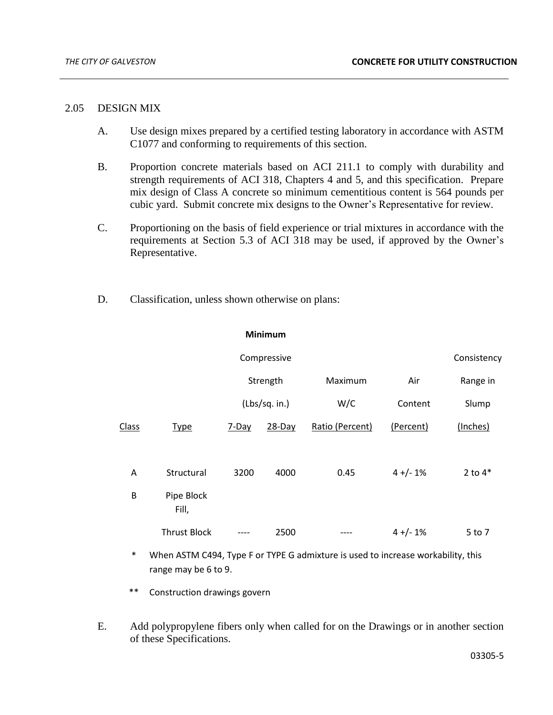### 2.05 DESIGN MIX

- A. Use design mixes prepared by a certified testing laboratory in accordance with ASTM C1077 and conforming to requirements of this section.
- B. Proportion concrete materials based on ACI 211.1 to comply with durability and strength requirements of ACI 318, Chapters 4 and 5, and this specification. Prepare mix design of Class A concrete so minimum cementitious content is 564 pounds per cubic yard. Submit concrete mix designs to the Owner's Representative for review.
- C. Proportioning on the basis of field experience or trial mixtures in accordance with the requirements at Section 5.3 of ACI 318 may be used, if approved by the Owner's Representative.
- D. Classification, unless shown otherwise on plans:

**Minimum**

|              |                     | Compressive   |           |                 |            |           |
|--------------|---------------------|---------------|-----------|-----------------|------------|-----------|
|              |                     | Strength      |           | Maximum         | Air        | Range in  |
|              |                     | (Lbs/sq. in.) |           | W/C             | Content    | Slump     |
| <b>Class</b> | <b>Type</b>         | $7$ -Day      | $28$ -Day | Ratio (Percent) | (Percent)  | (Inches)  |
| A            | Structural          | 3200          | 4000      | 0.45            | $4 +/- 1%$ | 2 to $4*$ |
| B            | Pipe Block<br>Fill, |               |           |                 |            |           |
|              | <b>Thrust Block</b> |               | 2500      |                 | $4 +/- 1%$ | 5 to 7    |

- When ASTM C494, Type F or TYPE G admixture is used to increase workability, this range may be 6 to 9.
- \*\* Construction drawings govern
- E. Add polypropylene fibers only when called for on the Drawings or in another section of these Specifications.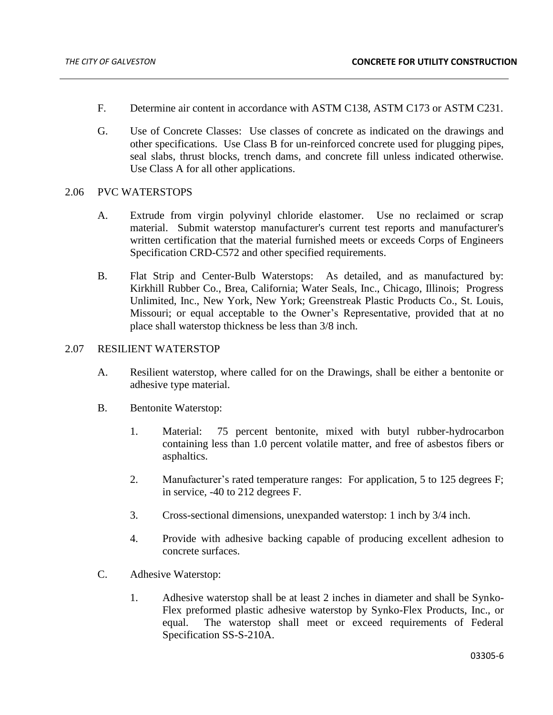- F. Determine air content in accordance with ASTM C138, ASTM C173 or ASTM C231.
- G. Use of Concrete Classes: Use classes of concrete as indicated on the drawings and other specifications. Use Class B for un-reinforced concrete used for plugging pipes, seal slabs, thrust blocks, trench dams, and concrete fill unless indicated otherwise. Use Class A for all other applications.

#### 2.06 PVC WATERSTOPS

- A. Extrude from virgin polyvinyl chloride elastomer. Use no reclaimed or scrap material. Submit waterstop manufacturer's current test reports and manufacturer's written certification that the material furnished meets or exceeds Corps of Engineers Specification CRD-C572 and other specified requirements.
- B. Flat Strip and Center-Bulb Waterstops: As detailed, and as manufactured by: Kirkhill Rubber Co., Brea, California; Water Seals, Inc., Chicago, Illinois; Progress Unlimited, Inc., New York, New York; Greenstreak Plastic Products Co., St. Louis, Missouri; or equal acceptable to the Owner's Representative, provided that at no place shall waterstop thickness be less than 3/8 inch.

### 2.07 RESILIENT WATERSTOP

- A. Resilient waterstop, where called for on the Drawings, shall be either a bentonite or adhesive type material.
- B. Bentonite Waterstop:
	- 1. Material: 75 percent bentonite, mixed with butyl rubber-hydrocarbon containing less than 1.0 percent volatile matter, and free of asbestos fibers or asphaltics.
	- 2. Manufacturer's rated temperature ranges: For application, 5 to 125 degrees F; in service, -40 to 212 degrees F.
	- 3. Cross-sectional dimensions, unexpanded waterstop: 1 inch by 3/4 inch.
	- 4. Provide with adhesive backing capable of producing excellent adhesion to concrete surfaces.
- C. Adhesive Waterstop:
	- 1. Adhesive waterstop shall be at least 2 inches in diameter and shall be Synko-Flex preformed plastic adhesive waterstop by Synko-Flex Products, Inc., or equal. The waterstop shall meet or exceed requirements of Federal Specification SS-S-210A.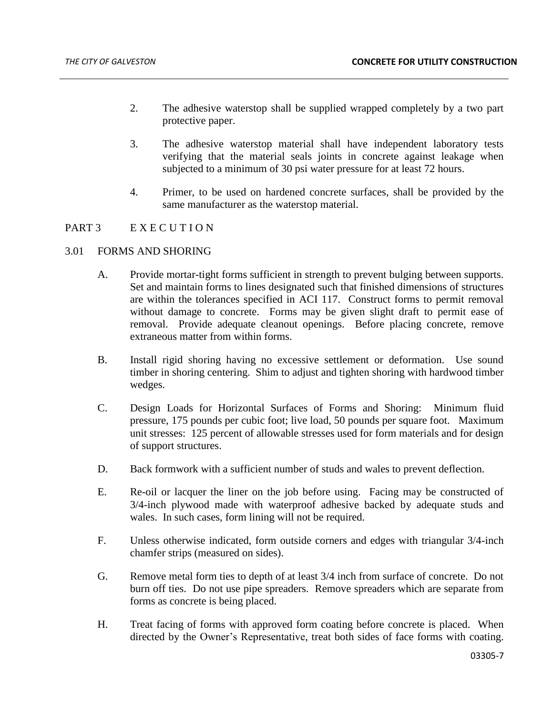- 2. The adhesive waterstop shall be supplied wrapped completely by a two part protective paper.
- 3. The adhesive waterstop material shall have independent laboratory tests verifying that the material seals joints in concrete against leakage when subjected to a minimum of 30 psi water pressure for at least 72 hours.
- 4. Primer, to be used on hardened concrete surfaces, shall be provided by the same manufacturer as the waterstop material.

# PART 3 EXECUTION

# 3.01 FORMS AND SHORING

- A. Provide mortar-tight forms sufficient in strength to prevent bulging between supports. Set and maintain forms to lines designated such that finished dimensions of structures are within the tolerances specified in ACI 117. Construct forms to permit removal without damage to concrete. Forms may be given slight draft to permit ease of removal. Provide adequate cleanout openings. Before placing concrete, remove extraneous matter from within forms.
- B. Install rigid shoring having no excessive settlement or deformation. Use sound timber in shoring centering. Shim to adjust and tighten shoring with hardwood timber wedges.
- C. Design Loads for Horizontal Surfaces of Forms and Shoring: Minimum fluid pressure, 175 pounds per cubic foot; live load, 50 pounds per square foot. Maximum unit stresses: 125 percent of allowable stresses used for form materials and for design of support structures.
- D. Back formwork with a sufficient number of studs and wales to prevent deflection.
- E. Re-oil or lacquer the liner on the job before using. Facing may be constructed of 3/4-inch plywood made with waterproof adhesive backed by adequate studs and wales. In such cases, form lining will not be required.
- F. Unless otherwise indicated, form outside corners and edges with triangular 3/4-inch chamfer strips (measured on sides).
- G. Remove metal form ties to depth of at least 3/4 inch from surface of concrete. Do not burn off ties. Do not use pipe spreaders. Remove spreaders which are separate from forms as concrete is being placed.
- H. Treat facing of forms with approved form coating before concrete is placed. When directed by the Owner's Representative, treat both sides of face forms with coating.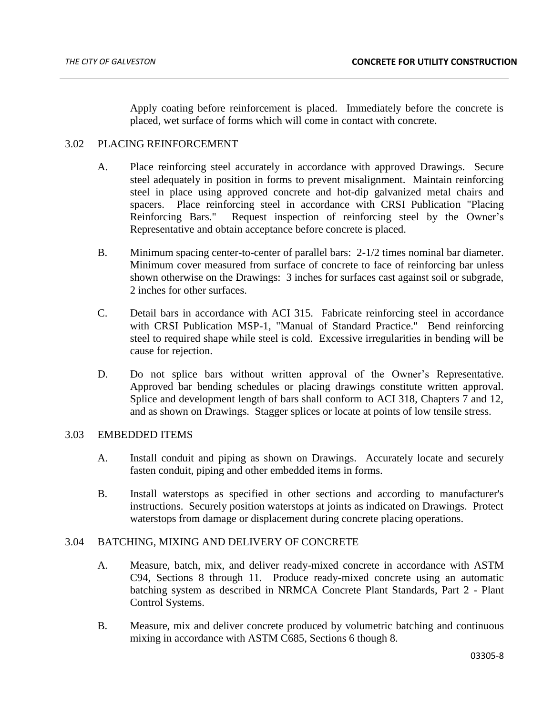Apply coating before reinforcement is placed. Immediately before the concrete is placed, wet surface of forms which will come in contact with concrete.

# 3.02 PLACING REINFORCEMENT

- A. Place reinforcing steel accurately in accordance with approved Drawings. Secure steel adequately in position in forms to prevent misalignment. Maintain reinforcing steel in place using approved concrete and hot-dip galvanized metal chairs and spacers. Place reinforcing steel in accordance with CRSI Publication "Placing Reinforcing Bars." Request inspection of reinforcing steel by the Owner's Representative and obtain acceptance before concrete is placed.
- B. Minimum spacing center-to-center of parallel bars: 2-1/2 times nominal bar diameter. Minimum cover measured from surface of concrete to face of reinforcing bar unless shown otherwise on the Drawings: 3 inches for surfaces cast against soil or subgrade, 2 inches for other surfaces.
- C. Detail bars in accordance with ACI 315. Fabricate reinforcing steel in accordance with CRSI Publication MSP-1, "Manual of Standard Practice." Bend reinforcing steel to required shape while steel is cold. Excessive irregularities in bending will be cause for rejection.
- D. Do not splice bars without written approval of the Owner's Representative. Approved bar bending schedules or placing drawings constitute written approval. Splice and development length of bars shall conform to ACI 318, Chapters 7 and 12, and as shown on Drawings. Stagger splices or locate at points of low tensile stress.

### 3.03 EMBEDDED ITEMS

- A. Install conduit and piping as shown on Drawings. Accurately locate and securely fasten conduit, piping and other embedded items in forms.
- B. Install waterstops as specified in other sections and according to manufacturer's instructions. Securely position waterstops at joints as indicated on Drawings. Protect waterstops from damage or displacement during concrete placing operations.

### 3.04 BATCHING, MIXING AND DELIVERY OF CONCRETE

- A. Measure, batch, mix, and deliver ready-mixed concrete in accordance with ASTM C94, Sections 8 through 11. Produce ready-mixed concrete using an automatic batching system as described in NRMCA Concrete Plant Standards, Part 2 - Plant Control Systems.
- B. Measure, mix and deliver concrete produced by volumetric batching and continuous mixing in accordance with ASTM C685, Sections 6 though 8.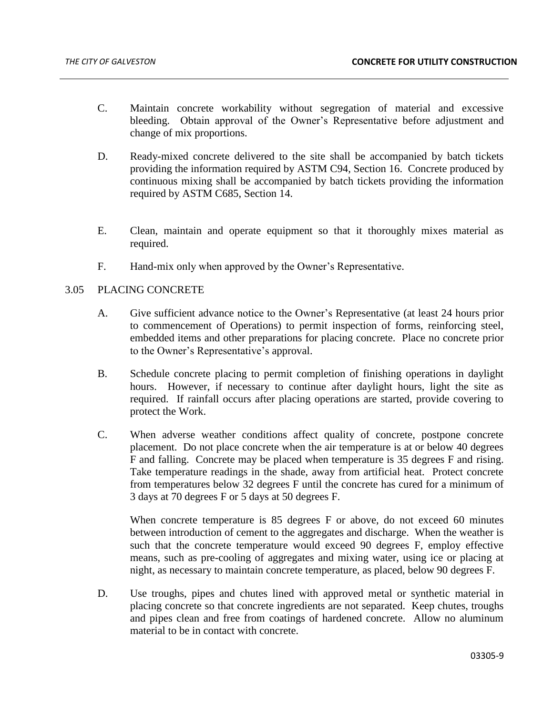- C. Maintain concrete workability without segregation of material and excessive bleeding. Obtain approval of the Owner's Representative before adjustment and change of mix proportions.
- D. Ready-mixed concrete delivered to the site shall be accompanied by batch tickets providing the information required by ASTM C94, Section 16. Concrete produced by continuous mixing shall be accompanied by batch tickets providing the information required by ASTM C685, Section 14.
- E. Clean, maintain and operate equipment so that it thoroughly mixes material as required.
- F. Hand-mix only when approved by the Owner's Representative.

### 3.05 PLACING CONCRETE

- A. Give sufficient advance notice to the Owner's Representative (at least 24 hours prior to commencement of Operations) to permit inspection of forms, reinforcing steel, embedded items and other preparations for placing concrete. Place no concrete prior to the Owner's Representative's approval.
- B. Schedule concrete placing to permit completion of finishing operations in daylight hours. However, if necessary to continue after daylight hours, light the site as required. If rainfall occurs after placing operations are started, provide covering to protect the Work.
- C. When adverse weather conditions affect quality of concrete, postpone concrete placement. Do not place concrete when the air temperature is at or below 40 degrees F and falling. Concrete may be placed when temperature is 35 degrees F and rising. Take temperature readings in the shade, away from artificial heat. Protect concrete from temperatures below 32 degrees F until the concrete has cured for a minimum of 3 days at 70 degrees F or 5 days at 50 degrees F.

When concrete temperature is 85 degrees F or above, do not exceed 60 minutes between introduction of cement to the aggregates and discharge. When the weather is such that the concrete temperature would exceed 90 degrees F, employ effective means, such as pre-cooling of aggregates and mixing water, using ice or placing at night, as necessary to maintain concrete temperature, as placed, below 90 degrees F.

D. Use troughs, pipes and chutes lined with approved metal or synthetic material in placing concrete so that concrete ingredients are not separated. Keep chutes, troughs and pipes clean and free from coatings of hardened concrete. Allow no aluminum material to be in contact with concrete.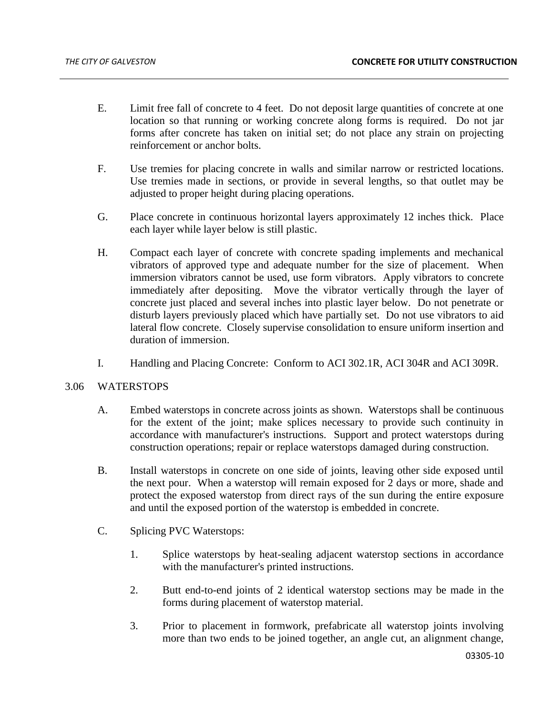- E. Limit free fall of concrete to 4 feet. Do not deposit large quantities of concrete at one location so that running or working concrete along forms is required. Do not jar forms after concrete has taken on initial set; do not place any strain on projecting reinforcement or anchor bolts.
- F. Use tremies for placing concrete in walls and similar narrow or restricted locations. Use tremies made in sections, or provide in several lengths, so that outlet may be adjusted to proper height during placing operations.
- G. Place concrete in continuous horizontal layers approximately 12 inches thick. Place each layer while layer below is still plastic.
- H. Compact each layer of concrete with concrete spading implements and mechanical vibrators of approved type and adequate number for the size of placement. When immersion vibrators cannot be used, use form vibrators. Apply vibrators to concrete immediately after depositing. Move the vibrator vertically through the layer of concrete just placed and several inches into plastic layer below. Do not penetrate or disturb layers previously placed which have partially set. Do not use vibrators to aid lateral flow concrete. Closely supervise consolidation to ensure uniform insertion and duration of immersion.
- I. Handling and Placing Concrete: Conform to ACI 302.1R, ACI 304R and ACI 309R.

# 3.06 WATERSTOPS

- A. Embed waterstops in concrete across joints as shown. Waterstops shall be continuous for the extent of the joint; make splices necessary to provide such continuity in accordance with manufacturer's instructions. Support and protect waterstops during construction operations; repair or replace waterstops damaged during construction.
- B. Install waterstops in concrete on one side of joints, leaving other side exposed until the next pour. When a waterstop will remain exposed for 2 days or more, shade and protect the exposed waterstop from direct rays of the sun during the entire exposure and until the exposed portion of the waterstop is embedded in concrete.
- C. Splicing PVC Waterstops:
	- 1. Splice waterstops by heat-sealing adjacent waterstop sections in accordance with the manufacturer's printed instructions.
	- 2. Butt end-to-end joints of 2 identical waterstop sections may be made in the forms during placement of waterstop material.
	- 3. Prior to placement in formwork, prefabricate all waterstop joints involving more than two ends to be joined together, an angle cut, an alignment change,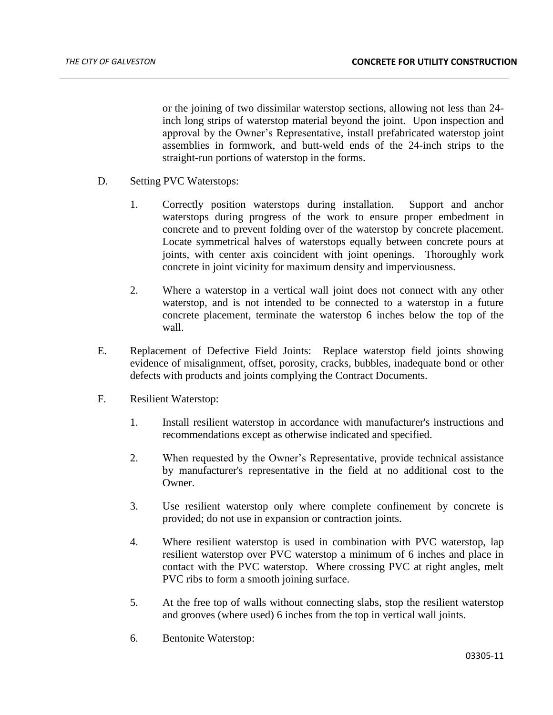or the joining of two dissimilar waterstop sections, allowing not less than 24 inch long strips of waterstop material beyond the joint. Upon inspection and approval by the Owner's Representative, install prefabricated waterstop joint assemblies in formwork, and butt-weld ends of the 24-inch strips to the straight-run portions of waterstop in the forms.

- D. Setting PVC Waterstops:
	- 1. Correctly position waterstops during installation. Support and anchor waterstops during progress of the work to ensure proper embedment in concrete and to prevent folding over of the waterstop by concrete placement. Locate symmetrical halves of waterstops equally between concrete pours at joints, with center axis coincident with joint openings. Thoroughly work concrete in joint vicinity for maximum density and imperviousness.
	- 2. Where a waterstop in a vertical wall joint does not connect with any other waterstop, and is not intended to be connected to a waterstop in a future concrete placement, terminate the waterstop 6 inches below the top of the wall.
- E. Replacement of Defective Field Joints: Replace waterstop field joints showing evidence of misalignment, offset, porosity, cracks, bubbles, inadequate bond or other defects with products and joints complying the Contract Documents.
- F. Resilient Waterstop:
	- 1. Install resilient waterstop in accordance with manufacturer's instructions and recommendations except as otherwise indicated and specified.
	- 2. When requested by the Owner's Representative, provide technical assistance by manufacturer's representative in the field at no additional cost to the Owner.
	- 3. Use resilient waterstop only where complete confinement by concrete is provided; do not use in expansion or contraction joints.
	- 4. Where resilient waterstop is used in combination with PVC waterstop, lap resilient waterstop over PVC waterstop a minimum of 6 inches and place in contact with the PVC waterstop. Where crossing PVC at right angles, melt PVC ribs to form a smooth joining surface.
	- 5. At the free top of walls without connecting slabs, stop the resilient waterstop and grooves (where used) 6 inches from the top in vertical wall joints.
	- 6. Bentonite Waterstop: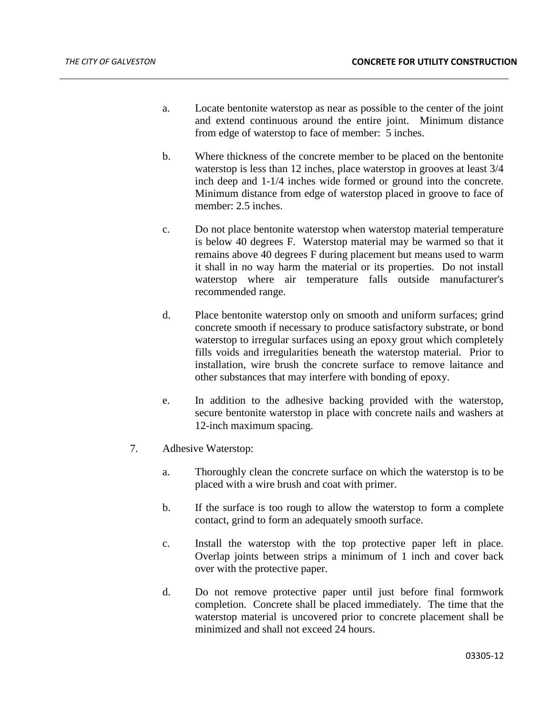- a. Locate bentonite waterstop as near as possible to the center of the joint and extend continuous around the entire joint. Minimum distance from edge of waterstop to face of member: 5 inches.
- b. Where thickness of the concrete member to be placed on the bentonite waterstop is less than 12 inches, place waterstop in grooves at least 3/4 inch deep and 1-1/4 inches wide formed or ground into the concrete. Minimum distance from edge of waterstop placed in groove to face of member: 2.5 inches.
- c. Do not place bentonite waterstop when waterstop material temperature is below 40 degrees F. Waterstop material may be warmed so that it remains above 40 degrees F during placement but means used to warm it shall in no way harm the material or its properties. Do not install waterstop where air temperature falls outside manufacturer's recommended range.
- d. Place bentonite waterstop only on smooth and uniform surfaces; grind concrete smooth if necessary to produce satisfactory substrate, or bond waterstop to irregular surfaces using an epoxy grout which completely fills voids and irregularities beneath the waterstop material. Prior to installation, wire brush the concrete surface to remove laitance and other substances that may interfere with bonding of epoxy.
- e. In addition to the adhesive backing provided with the waterstop, secure bentonite waterstop in place with concrete nails and washers at 12-inch maximum spacing.
- 7. Adhesive Waterstop:
	- a. Thoroughly clean the concrete surface on which the waterstop is to be placed with a wire brush and coat with primer.
	- b. If the surface is too rough to allow the waterstop to form a complete contact, grind to form an adequately smooth surface.
	- c. Install the waterstop with the top protective paper left in place. Overlap joints between strips a minimum of 1 inch and cover back over with the protective paper.
	- d. Do not remove protective paper until just before final formwork completion. Concrete shall be placed immediately. The time that the waterstop material is uncovered prior to concrete placement shall be minimized and shall not exceed 24 hours.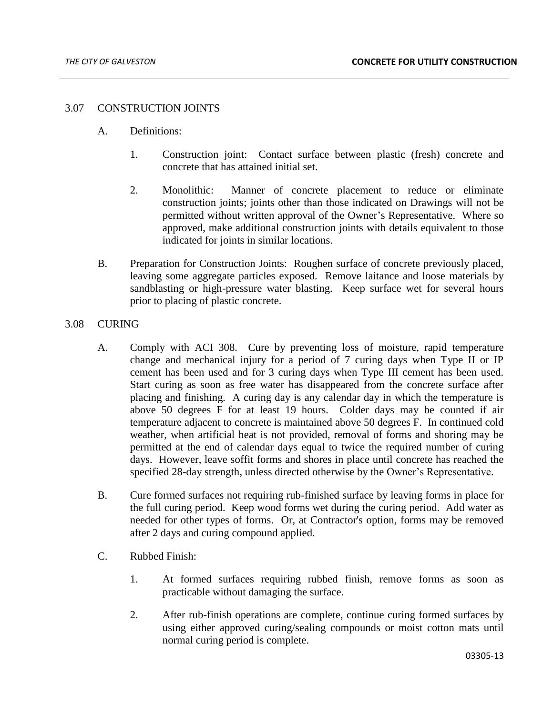#### 3.07 CONSTRUCTION JOINTS

- A. Definitions:
	- 1. Construction joint: Contact surface between plastic (fresh) concrete and concrete that has attained initial set.
	- 2. Monolithic: Manner of concrete placement to reduce or eliminate construction joints; joints other than those indicated on Drawings will not be permitted without written approval of the Owner's Representative. Where so approved, make additional construction joints with details equivalent to those indicated for joints in similar locations.
- B. Preparation for Construction Joints: Roughen surface of concrete previously placed, leaving some aggregate particles exposed. Remove laitance and loose materials by sandblasting or high-pressure water blasting. Keep surface wet for several hours prior to placing of plastic concrete.

### 3.08 CURING

- A. Comply with ACI 308. Cure by preventing loss of moisture, rapid temperature change and mechanical injury for a period of 7 curing days when Type II or IP cement has been used and for 3 curing days when Type III cement has been used. Start curing as soon as free water has disappeared from the concrete surface after placing and finishing. A curing day is any calendar day in which the temperature is above 50 degrees F for at least 19 hours. Colder days may be counted if air temperature adjacent to concrete is maintained above 50 degrees F. In continued cold weather, when artificial heat is not provided, removal of forms and shoring may be permitted at the end of calendar days equal to twice the required number of curing days. However, leave soffit forms and shores in place until concrete has reached the specified 28-day strength, unless directed otherwise by the Owner's Representative.
- B. Cure formed surfaces not requiring rub-finished surface by leaving forms in place for the full curing period. Keep wood forms wet during the curing period. Add water as needed for other types of forms. Or, at Contractor's option, forms may be removed after 2 days and curing compound applied.
- C. Rubbed Finish:
	- 1. At formed surfaces requiring rubbed finish, remove forms as soon as practicable without damaging the surface.
	- 2. After rub-finish operations are complete, continue curing formed surfaces by using either approved curing/sealing compounds or moist cotton mats until normal curing period is complete.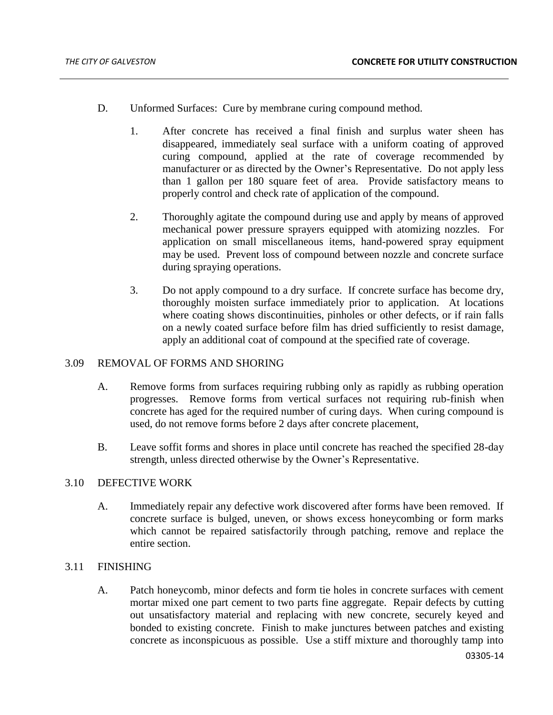- D. Unformed Surfaces: Cure by membrane curing compound method.
	- 1. After concrete has received a final finish and surplus water sheen has disappeared, immediately seal surface with a uniform coating of approved curing compound, applied at the rate of coverage recommended by manufacturer or as directed by the Owner's Representative. Do not apply less than 1 gallon per 180 square feet of area. Provide satisfactory means to properly control and check rate of application of the compound.
	- 2. Thoroughly agitate the compound during use and apply by means of approved mechanical power pressure sprayers equipped with atomizing nozzles. For application on small miscellaneous items, hand-powered spray equipment may be used. Prevent loss of compound between nozzle and concrete surface during spraying operations.
	- 3. Do not apply compound to a dry surface. If concrete surface has become dry, thoroughly moisten surface immediately prior to application. At locations where coating shows discontinuities, pinholes or other defects, or if rain falls on a newly coated surface before film has dried sufficiently to resist damage, apply an additional coat of compound at the specified rate of coverage.

### 3.09 REMOVAL OF FORMS AND SHORING

- A. Remove forms from surfaces requiring rubbing only as rapidly as rubbing operation progresses. Remove forms from vertical surfaces not requiring rub-finish when concrete has aged for the required number of curing days. When curing compound is used, do not remove forms before 2 days after concrete placement,
- B. Leave soffit forms and shores in place until concrete has reached the specified 28-day strength, unless directed otherwise by the Owner's Representative.

# 3.10 DEFECTIVE WORK

A. Immediately repair any defective work discovered after forms have been removed. If concrete surface is bulged, uneven, or shows excess honeycombing or form marks which cannot be repaired satisfactorily through patching, remove and replace the entire section.

# 3.11 FINISHING

A. Patch honeycomb, minor defects and form tie holes in concrete surfaces with cement mortar mixed one part cement to two parts fine aggregate. Repair defects by cutting out unsatisfactory material and replacing with new concrete, securely keyed and bonded to existing concrete. Finish to make junctures between patches and existing concrete as inconspicuous as possible. Use a stiff mixture and thoroughly tamp into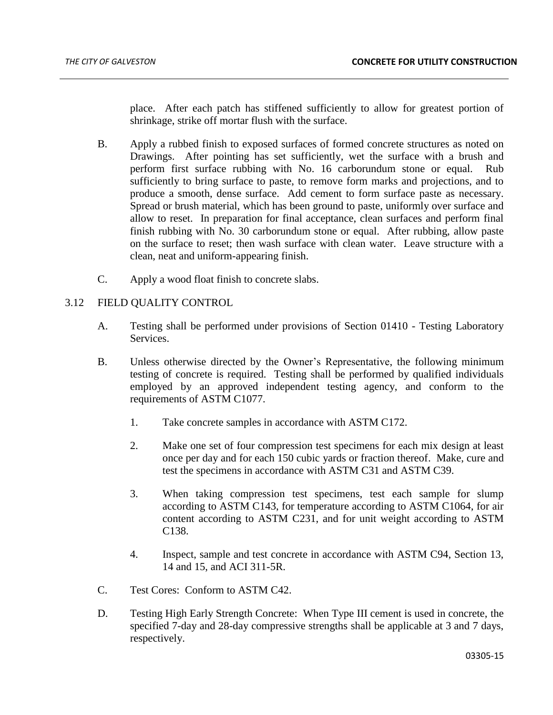place. After each patch has stiffened sufficiently to allow for greatest portion of shrinkage, strike off mortar flush with the surface.

- B. Apply a rubbed finish to exposed surfaces of formed concrete structures as noted on Drawings. After pointing has set sufficiently, wet the surface with a brush and perform first surface rubbing with No. 16 carborundum stone or equal. Rub sufficiently to bring surface to paste, to remove form marks and projections, and to produce a smooth, dense surface. Add cement to form surface paste as necessary. Spread or brush material, which has been ground to paste, uniformly over surface and allow to reset. In preparation for final acceptance, clean surfaces and perform final finish rubbing with No. 30 carborundum stone or equal. After rubbing, allow paste on the surface to reset; then wash surface with clean water. Leave structure with a clean, neat and uniform-appearing finish.
- C. Apply a wood float finish to concrete slabs.

# 3.12 FIELD QUALITY CONTROL

- A. Testing shall be performed under provisions of Section 01410 Testing Laboratory Services.
- B. Unless otherwise directed by the Owner's Representative, the following minimum testing of concrete is required. Testing shall be performed by qualified individuals employed by an approved independent testing agency, and conform to the requirements of ASTM C1077.
	- 1. Take concrete samples in accordance with ASTM C172.
	- 2. Make one set of four compression test specimens for each mix design at least once per day and for each 150 cubic yards or fraction thereof. Make, cure and test the specimens in accordance with ASTM C31 and ASTM C39.
	- 3. When taking compression test specimens, test each sample for slump according to ASTM C143, for temperature according to ASTM C1064, for air content according to ASTM C231, and for unit weight according to ASTM C138.
	- 4. Inspect, sample and test concrete in accordance with ASTM C94, Section 13, 14 and 15, and ACI 311-5R.
- C. Test Cores: Conform to ASTM C42.
- D. Testing High Early Strength Concrete: When Type III cement is used in concrete, the specified 7-day and 28-day compressive strengths shall be applicable at 3 and 7 days, respectively.